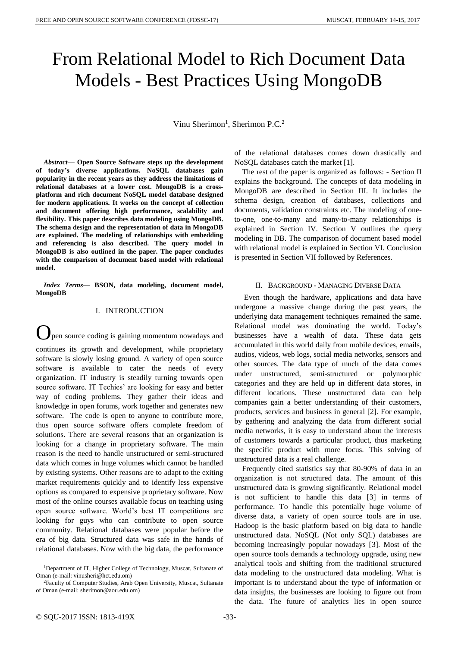# From Relational Model to Rich Document Data Models - Best Practices Using MongoDB

Vinu Sherimon<sup>1</sup>, Sherimon P.C.<sup>2</sup>

*Abstract***— Open Source Software steps up the development of today's diverse applications. NoSQL databases gain popularity in the recent years as they address the limitations of relational databases at a lower cost. MongoDB is a crossplatform and rich document NoSQL model database designed for modern applications. It works on the concept of collection and document offering high performance, scalability and flexibility. This paper describes data modeling using MongoDB. The schema design and the representation of data in MongoDB are explained. The modeling of relationships with embedding and referencing is also described. The query model in MongoDB is also outlined in the paper. The paper concludes with the comparison of document based model with relational model.**

*Index Terms***— BSON, data modeling, document model, MongoDB**

## I. INTRODUCTION

pen source coding is gaining momentum nowadays and continues its growth and development, while proprietary software is slowly losing ground. A variety of open source software is available to cater the needs of every organization. IT industry is steadily turning towards open source software. IT Techies' are looking for easy and better way of coding problems. They gather their ideas and knowledge in open forums, work together and generates new software. The code is open to anyone to contribute more, thus open source software offers complete freedom of solutions. There are several reasons that an organization is looking for a change in proprietary software. The main reason is the need to handle unstructured or semi-structured data which comes in huge volumes which cannot be handled by existing systems. Other reasons are to adapt to the exiting market requirements quickly and to identify less expensive options as compared to expensive proprietary software. Now most of the online courses available focus on teaching using open source software. World's best IT competitions are looking for guys who can contribute to open source community. Relational databases were popular before the era of big data. Structured data was safe in the hands of relational databases. Now with the big data, the performance

<sup>2</sup>Faculty of Computer Studies, Arab Open University, Muscat, Sultanate of Oman (e-mail: sherimon@aou.edu.om)

of the relational databases comes down drastically and NoSQL databases catch the market [1].

The rest of the paper is organized as follows: - Section II explains the background. The concepts of data modeling in MongoDB are described in Section III. It includes the schema design, creation of databases, collections and documents, validation constraints etc. The modeling of oneto-one, one-to-many and many-to-many relationships is explained in Section IV. Section V outlines the query modeling in DB. The comparison of document based model with relational model is explained in Section VI. Conclusion is presented in Section VII followed by References.

#### II. BACKGROUND - MANAGING DIVERSE DATA

Even though the hardware, applications and data have undergone a massive change during the past years, the underlying data management techniques remained the same. Relational model was dominating the world. Today's businesses have a wealth of data. These data gets accumulated in this world daily from mobile devices, emails, audios, videos, web logs, social media networks, sensors and other sources. The data type of much of the data comes under unstructured, semi-structured or polymorphic categories and they are held up in different data stores, in different locations. These unstructured data can help companies gain a better understanding of their customers, products, services and business in general [2]. For example, by gathering and analyzing the data from different social media networks, it is easy to understand about the interests of customers towards a particular product, thus marketing the specific product with more focus. This solving of unstructured data is a real challenge.

Frequently cited statistics say that 80-90% of data in an organization is not structured data. The amount of this unstructured data is growing significantly. Relational model is not sufficient to handle this data [3] in terms of performance. To handle this potentially huge volume of diverse data, a variety of open source tools are in use. Hadoop is the basic platform based on big data to handle unstructured data. NoSQL (Not only SQL) databases are becoming increasingly popular nowadays [3]. Most of the open source tools demands a technology upgrade, using new analytical tools and shifting from the traditional structured data modeling to the unstructured data modeling. What is important is to understand about the type of information or data insights, the businesses are looking to figure out from the data. The future of analytics lies in open source

<sup>1</sup>Department of IT, Higher College of Technology, Muscat, Sultanate of Oman (e-mail: vinusheri@hct.edu.om)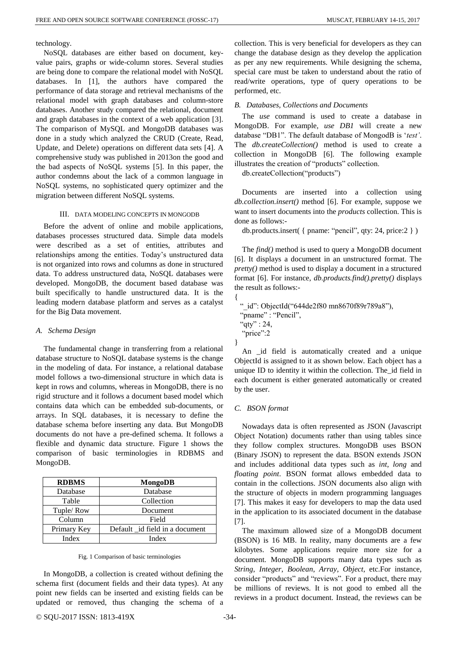technology.

NoSQL databases are either based on document, keyvalue pairs, graphs or wide-column stores. Several studies are being done to compare the relational model with NoSQL databases. In [1], the authors have compared the performance of data storage and retrieval mechanisms of the relational model with graph databases and column-store databases. Another study compared the relational, document and graph databases in the context of a web application [3]. The comparison of MySQL and MongoDB databases was done in a study which analyzed the CRUD (Create, Read, Update, and Delete) operations on different data sets [4]. A comprehensive study was published in 2013on the good and the bad aspects of NoSQL systems [5]. In this paper, the author condemns about the lack of a common language in NoSQL systems, no sophisticated query optimizer and the migration between different NoSQL systems.

### III. DATA MODELING CONCEPTS IN MONGODB

Before the advent of online and mobile applications, databases processes structured data. Simple data models were described as a set of entities, attributes and relationships among the entities. Today's unstructured data is not organized into rows and columns as done in structured data. To address unstructured data, NoSQL databases were developed. MongoDB, the document based database was built specifically to handle unstructured data. It is the leading modern database platform and serves as a catalyst for the Big Data movement.

#### *A. Schema Design*

The fundamental change in transferring from a relational database structure to NoSQL database systems is the change in the modeling of data. For instance, a relational database model follows a two-dimensional structure in which data is kept in rows and columns, whereas in MongoDB, there is no rigid structure and it follows a document based model which contains data which can be embedded sub-documents, or arrays. In SQL databases, it is necessary to define the database schema before inserting any data. But MongoDB documents do not have a pre-defined schema. It follows a flexible and dynamic data structure. Figure 1 shows the comparison of basic terminologies in RDBMS and MongoDB.

| <b>RDBMS</b> | MongoDB                        |
|--------------|--------------------------------|
| Database     | Database                       |
| Table        | Collection                     |
| Tuple/Row    | Document                       |
| Column       | Field                          |
| Primary Key  | Default id field in a document |
| Index        | Index                          |

#### Fig. 1 Comparison of basic terminologies

In MongoDB, a collection is created without defining the schema first (document fields and their data types). At any point new fields can be inserted and existing fields can be updated or removed, thus changing the schema of a collection. This is very beneficial for developers as they can change the database design as they develop the application as per any new requirements. While designing the schema, special care must be taken to understand about the ratio of read/write operations, type of query operations to be performed, etc.

#### *B. Databases, Collections and Documents*

The *use* command is used to create a database in MongoDB. For example, *use DB1* will create a new database "DB1". The default database of MongodB is '*test'*. The *db.createCollection()* method is used to create a collection in MongoDB [6]. The following example illustrates the creation of "products" collection.

db.createCollection("products")

Documents are inserted into a collection using *db.collection.insert()* method [6]. For example, suppose we want to insert documents into the *products* collection. This is done as follows:-

db.products.insert( { pname: "pencil", qty: 24, price:2 } )

The *find()* method is used to query a MongoDB document [6]. It displays a document in an unstructured format. The *pretty()* method is used to display a document in a structured format [6]. For instance, *db.products.find().pretty()* displays the result as follows:-

```
{
 " id": ObjectId("644de2f80 mn8670f89r789a8"),
 "pname" : "Pencil",
 "qty" : 24,"price":2
}
```
An \_id field is automatically created and a unique ObjectId is assigned to it as shown below. Each object has a unique ID to identity it within the collection. The\_id field in each document is either generated automatically or created by the user.

#### *C. BSON format*

Nowadays data is often represented as JSON (Javascript Object Notation) documents rather than using tables since they follow complex structures. MongoDB uses BSON (Binary JSON) to represent the data. BSON extends JSON and includes additional data types such as *int*, *long* and *floating point*. BSON format allows embedded data to contain in the collections. JSON documents also align with the structure of objects in modern programming languages [7]. This makes it easy for developers to map the data used in the application to its associated document in the database [7].

The maximum allowed size of a MongoDB document (BSON) is 16 MB. In reality, many documents are a few kilobytes. Some applications require more size for a document. MongoDB supports many data types such as *String*, *Integer*, *Boolean*, *Array*, *Object*, etc.For instance, consider "products" and "reviews". For a product, there may be millions of reviews. It is not good to embed all the reviews in a product document. Instead, the reviews can be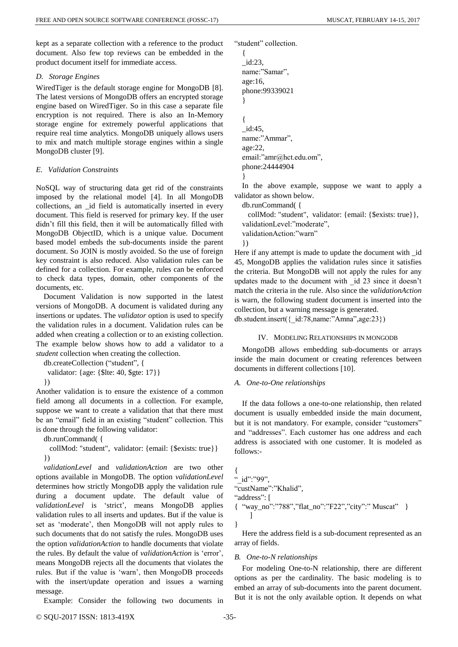kept as a separate collection with a reference to the product document. Also few top reviews can be embedded in the product document itself for immediate access.

### *D. Storage Engines*

WiredTiger is the default storage engine for MongoDB [8]. The latest versions of MongoDB offers an encrypted storage engine based on WiredTiger. So in this case a separate file encryption is not required. There is also an In-Memory storage engine for extremely powerful applications that require real time analytics. MongoDB uniquely allows users to mix and match multiple storage engines within a single MongoDB cluster [9].

# *E. Validation Constraints*

NoSQL way of structuring data get rid of the constraints imposed by the relational model [4]. In all MongoDB collections, an \_id field is automatically inserted in every document. This field is reserved for primary key. If the user didn't fill this field, then it will be automatically filled with MongoDB ObjectID, which is a unique value. Document based model embeds the sub-documents inside the parent document. So JOIN is mostly avoided. So the use of foreign key constraint is also reduced. Also validation rules can be defined for a collection. For example, rules can be enforced to check data types, domain, other components of the documents, etc.

Document Validation is now supported in the latest versions of MongoDB. A document is validated during any insertions or updates. The *validator* option is used to specify the validation rules in a document. Validation rules can be added when creating a collection or to an existing collection. The example below shows how to add a validator to a *student* collection when creating the collection.

db.createCollection ("student", {

validator: {age: {\$lte: 40, \$gte: 17}}

})

Another validation is to ensure the existence of a common field among all documents in a collection. For example, suppose we want to create a validation that that there must be an "email" field in an existing "student" collection. This is done through the following validator:

db.runCommand( {

 collMod: "student", validator: {email: {\$exists: true}} })

*validationLevel* and *validationAction* are two other options available in MongoDB. The option *validationLevel* determines how strictly MongoDB apply the validation rule during a document update. The default value of *validationLevel* is 'strict', means MongoDB applies validation rules to all inserts and updates. But if the value is set as 'moderate', then MongoDB will not apply rules to such documents that do not satisfy the rules. MongoDB uses the option *validationAction* to handle documents that violate the rules. By default the value of *validationAction* is 'error', means MongoDB rejects all the documents that violates the rules. But if the value is 'warn', then MongoDB proceeds with the insert/update operation and issues a warning message.

Example: Consider the following two documents in

"student" collection.

```
{
_id:23,
name:"Samar",
age:16,
phone:99339021
}
{
_id:45,
name:"Ammar",
age:22,
email:"amr@hct.edu.om",
phone:24444904
```
}

In the above example, suppose we want to apply a validator as shown below.

db.runCommand( {

 collMod: "student", validator: {email: {\$exists: true}}, validationLevel:"moderate", validationAction:"warn" })

Here if any attempt is made to update the document with \_id 45, MongoDB applies the validation rules since it satisfies the criteria. But MongoDB will not apply the rules for any updates made to the document with \_id 23 since it doesn't match the criteria in the rule. Also since the *validationAction* is warn, the following student document is inserted into the collection, but a warning message is generated.

db.student.insert({\_id:78,name:"Amna",age:23})

# IV. MODELING RELATIONSHIPS IN MONGODB

MongoDB allows embedding sub-documents or arrays inside the main document or creating references between documents in different collections [10].

# *A. One-to-One relationships*

If the data follows a one-to-one relationship, then related document is usually embedded inside the main document, but it is not mandatory. For example, consider "customers" and "addresses". Each customer has one address and each address is associated with one customer. It is modeled as follows:-

{ "\_id":"99", "custName":"Khalid", "address": [ { "way\_no":"788","flat\_no":"F22","city":" Muscat" } ] }

Here the address field is a sub-document represented as an array of fields.

# *B. One-to-N relationships*

For modeling One-to-N relationship, there are different options as per the cardinality. The basic modeling is to embed an array of sub-documents into the parent document. But it is not the only available option. It depends on what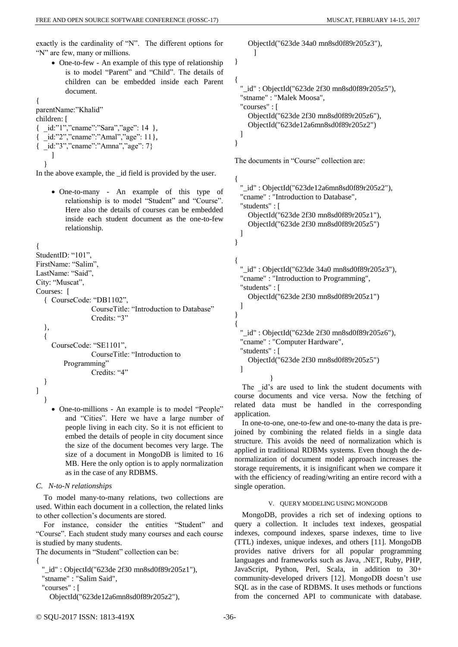exactly is the cardinality of "N". The different options for "N" are few, many or millions.

• One-to-few - An example of this type of relationship is to model "Parent" and "Child". The details of children can be embedded inside each Parent document.

{ parentName:"Khalid" children: [

{ \_id:"1","cname":"Sara","age": 14 }, { \_id:"2","cname":"Amal","age": 11}, { \_id:"3","cname":"Amna","age": 7} ] }

In the above example, the id field is provided by the user.

• One-to-many - An example of this type of relationship is to model "Student" and "Course". Here also the details of courses can be embedded inside each student document as the one-to-few relationship.

```
{
```

```
StudentID: "101".
```
FirstName: "Salim",

LastName: "Said", City: "Muscat",

```
Courses: [
```

```
{ CourseCode: "DB1102",
```
CourseTitle: "Introduction to Database" Credits: "3"

}, {

> CourseCode: "SE1101", CourseTitle: "Introduction to Programming" Credits: "4"

} ] }

> • One-to-millions - An example is to model "People" and "Cities". Here we have a large number of people living in each city. So it is not efficient to embed the details of people in city document since the size of the document becomes very large. The size of a document in MongoDB is limited to 16 MB. Here the only option is to apply normalization as in the case of any RDBMS.

*C. N-to-N relationships*

To model many-to-many relations, two collections are used. Within each document in a collection, the related links to other collection's documents are stored.

For instance, consider the entities "Student" and "Course". Each student study many courses and each course is studied by many students.

The documents in "Student" collection can be:

```
{
```

```
 "_id" : ObjectId("623de 2f30 mn8sd0f89r205z1"),
```

```
 "stname" : "Salim Said",
```

```
 "courses" : [
```
ObjectId("623de12a6mn8sd0f89r205z2"),

 ObjectId("623de 34a0 mn8sd0f89r205z3"),  $\begin{array}{ccc} \end{array}$ 

}

```
{
  "_id" : ObjectId("623de 2f30 mn8sd0f89r205z5"),
  "stname" : "Malek Moosa",
  "courses" : [ 
     ObjectId("623de 2f30 mn8sd0f89r205z6"),
     ObjectId("623de12a6mn8sd0f89r205z2")
  ]
}
```
The documents in "Course" collection are:

```
{
  "_id" : ObjectId("623de12a6mn8sd0f89r205z2"),
  "cname" : "Introduction to Database",
  "students" : [ 
     ObjectId("623de 2f30 mn8sd0f89r205z1"),
     ObjectId("623de 2f30 mn8sd0f89r205z5")
  ]
}
{
  "_id" : ObjectId("623de 34a0 mn8sd0f89r205z3"),
  "cname" : "Introduction to Programming",
  "students" : [ 
     ObjectId("623de 2f30 mn8sd0f89r205z1")
  ]
}
{
  "_id" : ObjectId("623de 2f30 mn8sd0f89r205z6"),
  "cname" : "Computer Hardware",
  "students" : [ 
     ObjectId("623de 2f30 mn8sd0f89r205z5")
  ]
```
} The id's are used to link the student documents with course documents and vice versa. Now the fetching of related data must be handled in the corresponding application.

In one-to-one, one-to-few and one-to-many the data is prejoined by combining the related fields in a single data structure. This avoids the need of normalization which is applied in traditional RDBMs systems. Even though the denormalization of document model approach increases the storage requirements, it is insignificant when we compare it with the efficiency of reading/writing an entire record with a single operation.

# V. QUERY MODELING USING MONGODB

MongoDB, provides a rich set of indexing options to query a collection. It includes text indexes, geospatial indexes, compound indexes, sparse indexes, time to live (TTL) indexes, unique indexes, and others [11]. MongoDB provides native drivers for all popular programming languages and frameworks such as Java, .NET, Ruby, PHP, JavaScript, Python, Perl, Scala, in addition to 30+ community-developed drivers [12]. MongoDB doesn't use SQL as in the case of RDBMS. It uses methods or functions from the concerned API to communicate with database.